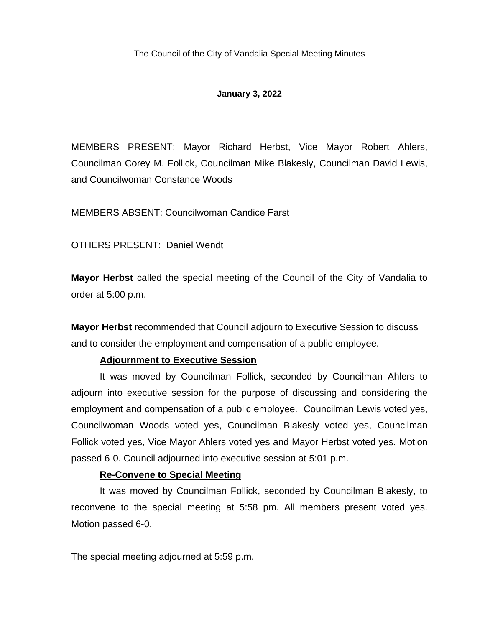The Council of the City of Vandalia Special Meeting Minutes

## **January 3, 2022**

MEMBERS PRESENT: Mayor Richard Herbst, Vice Mayor Robert Ahlers, Councilman Corey M. Follick, Councilman Mike Blakesly, Councilman David Lewis, and Councilwoman Constance Woods

MEMBERS ABSENT: Councilwoman Candice Farst

OTHERS PRESENT: Daniel Wendt

**Mayor Herbst** called the special meeting of the Council of the City of Vandalia to order at 5:00 p.m.

**Mayor Herbst** recommended that Council adjourn to Executive Session to discuss and to consider the employment and compensation of a public employee.

## **Adjournment to Executive Session**

It was moved by Councilman Follick, seconded by Councilman Ahlers to adjourn into executive session for the purpose of discussing and considering the employment and compensation of a public employee. Councilman Lewis voted yes, Councilwoman Woods voted yes, Councilman Blakesly voted yes, Councilman Follick voted yes, Vice Mayor Ahlers voted yes and Mayor Herbst voted yes. Motion passed 6-0. Council adjourned into executive session at 5:01 p.m.

## **Re-Convene to Special Meeting**

It was moved by Councilman Follick, seconded by Councilman Blakesly, to reconvene to the special meeting at 5:58 pm. All members present voted yes. Motion passed 6-0.

The special meeting adjourned at 5:59 p.m.